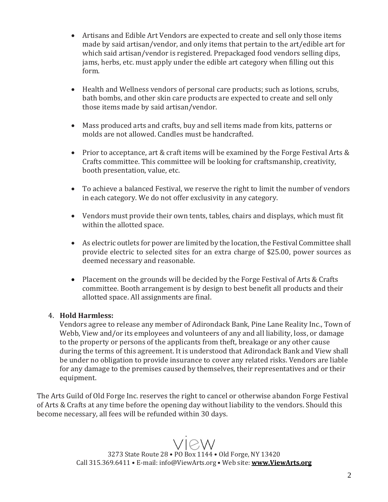- Artisans and Edible Art Vendors are expected to create and sell only those items made by said artisan/vendor, and only items that pertain to the art/edible art for which said artisan/vendor is registered. Prepackaged food vendors selling dips, jams, herbs, etc. must apply under the edible art category when filling out this form.
- Health and Wellness vendors of personal care products; such as lotions, scrubs, bath bombs, and other skin care products are expected to create and sell only those items made by said artisan/vendor.
- Mass produced arts and crafts, buy and sell items made from kits, patterns or molds are not allowed. Candles must be handcrafted.
- Prior to acceptance, art & craft items will be examined by the Forge Festival Arts & Crafts committee. This committee will be looking for craftsmanship, creativity, booth presentation, value, etc.
- To achieve a balanced Festival, we reserve the right to limit the number of vendors in each category. We do not offer exclusivity in any category.
- Vendors must provide their own tents, tables, chairs and displays, which must fit within the allotted space.
- As electric outlets for power are limited by the location, the Festival Committee shall provide electric to selected sites for an extra charge of \$25.00, power sources as deemed necessary and reasonable.
- Placement on the grounds will be decided by the Forge Festival of Arts & Crafts committee. Booth arrangement is by design to best benefit all products and their allotted space. All assignments are final.

## 4. **Hold Harmless:**

Vendors agree to release any member of Adirondack Bank, Pine Lane Reality Inc., Town of Webb, View and/or its employees and volunteers of any and all liability, loss, or damage to the property or persons of the applicants from theft, breakage or any other cause during the terms of this agreement. It is understood that Adirondack Bank and View shall be under no obligation to provide insurance to cover any related risks. Vendors are liable for any damage to the premises caused by themselves, their representatives and or their equipment.

The Arts Guild of Old Forge Inc. reserves the right to cancel or otherwise abandon Forge Festival of Arts & Crafts at any time before the opening day without liability to the vendors. Should this become necessary, all fees will be refunded within 30 days.